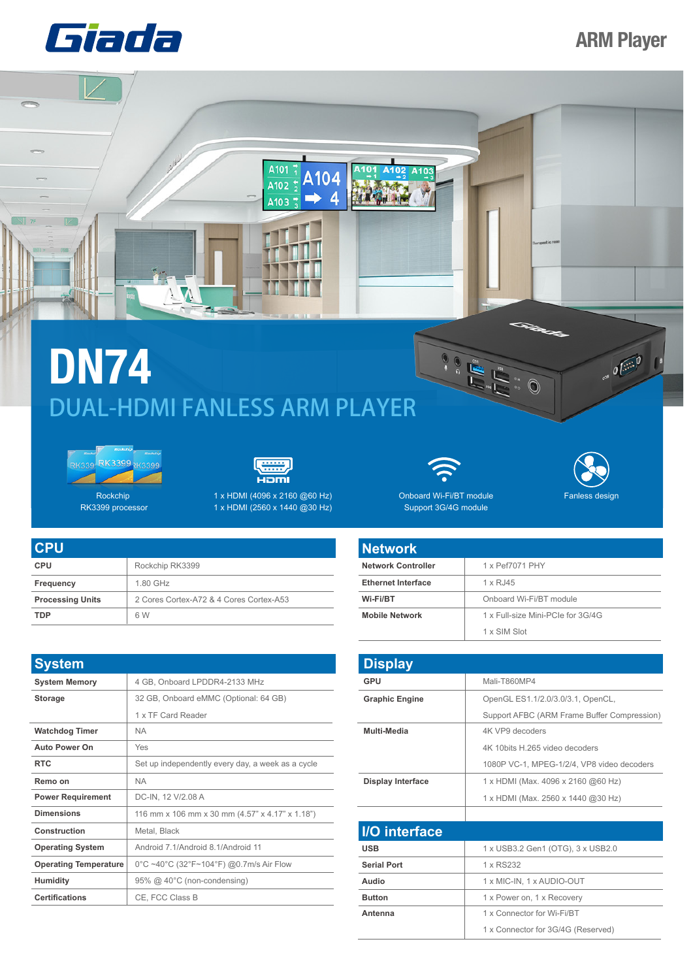

## **ARM Player**

## **DN74** DUAL-HDMI FANLESS ARM PLAYER

W Ť





RK3399 processor

6 W

 $\sqrt{7}$ 

**TDP**



A101

A102

A103 ∍ A104

 $\Rightarrow$  4

A<sub>101</sub>

A103

1 x HDMI (2560 x 1440 @30 Hz)

| <b>CPU</b>              |                                         |
|-------------------------|-----------------------------------------|
| <b>CPU</b>              | Rockchip RK3399                         |
| Frequency               | 1.80 GHz                                |
| <b>Processing Units</b> | 2 Cores Cortex-A72 & 4 Cores Cortex-A53 |

| <b>System</b>                |                                                   |
|------------------------------|---------------------------------------------------|
| <b>System Memory</b>         | 4 GB, Onboard LPDDR4-2133 MHz                     |
| <b>Storage</b>               | 32 GB, Onboard eMMC (Optional: 64 GB)             |
|                              | 1 x TF Card Reader                                |
| <b>Watchdog Timer</b>        | <b>NA</b>                                         |
| <b>Auto Power On</b>         | Yes                                               |
| <b>RTC</b>                   | Set up independently every day, a week as a cycle |
| Remo on                      | <b>NA</b>                                         |
| <b>Power Requirement</b>     | DC-IN, 12 V/2.08 A                                |
| <b>Dimensions</b>            | 116 mm x 106 mm x 30 mm (4.57" x 4.17" x 1.18")   |
| Construction                 | Metal, Black                                      |
| <b>Operating System</b>      | Android 7 1/Android 8 1/Android 11                |
| <b>Operating Temperature</b> | 0°C ~40°C (32°F~104°F) @0.7m/s Air Flow           |
| <b>Humidity</b>              | 95% @ 40°C (non-condensing)                       |
| <b>Certifications</b>        | CE, FCC Class B                                   |



 $\begin{picture}(180,170)(-0,0) \put(0,0){\line(1,0){155}} \put(10,0){\line(1,0){155}} \put(10,0){\line(1,0){155}} \put(10,0){\line(1,0){155}} \put(10,0){\line(1,0){155}} \put(10,0){\line(1,0){155}} \put(10,0){\line(1,0){155}} \put(10,0){\line(1,0){155}} \put(10,0){\line(1,0){155}} \put(10,0){\line(1,0){155}} \put(10,0){\line(1,$ 

 $\odot$ 

 $\overline{\mathcal{O}(\mathbb{R}^3)}$ 

Onboard Wi-Fi/BT module Support 3G/4G module Rockchip 1 x HDMI (4096 x 2160 @60 Hz) Onboard Wi-Fi/BT module Fanless design

| <b>Network</b>            |                                   |
|---------------------------|-----------------------------------|
| <b>Network Controller</b> | 1 x Pef7071 PHY                   |
| <b>Ethernet Interface</b> | 1 x RJ45                          |
| Wi-Fi/BT                  | Onboard Wi-Fi/BT module           |
| <b>Mobile Network</b>     | 1 x Full-size Mini-PCIe for 3G/4G |
|                           | 1 x SIM Slot                      |

| <b>Display</b>           |                                             |
|--------------------------|---------------------------------------------|
| <b>GPU</b>               | Mali-T860MP4                                |
| <b>Graphic Engine</b>    | OpenGL ES1.1/2.0/3.0/3.1, OpenCL,           |
|                          | Support AFBC (ARM Frame Buffer Compression) |
| Multi-Media              | 4K VP9 decoders                             |
|                          | 4K 10bits H.265 video decoders              |
|                          | 1080P VC-1, MPEG-1/2/4, VP8 video decoders  |
| <b>Display Interface</b> | 1 x HDMI (Max. 4096 x 2160 @60 Hz)          |
|                          | 1 x HDMI (Max. 2560 x 1440 @30 Hz)          |
|                          |                                             |
| I/O interface            |                                             |
| <b>USB</b>               | 1 x USB3.2 Gen1 (OTG), 3 x USB2.0           |
| <b>Serial Port</b>       | 1 x RS232                                   |
| Audio                    | 1 x MIC-IN, 1 x AUDIO-OUT                   |
| <b>Button</b>            | 1 x Power on, 1 x Recovery                  |
| Antenna                  | 1 x Connector for Wi-Fi/RT                  |
|                          | 1 x Connector for 3G/4G (Reserved)          |